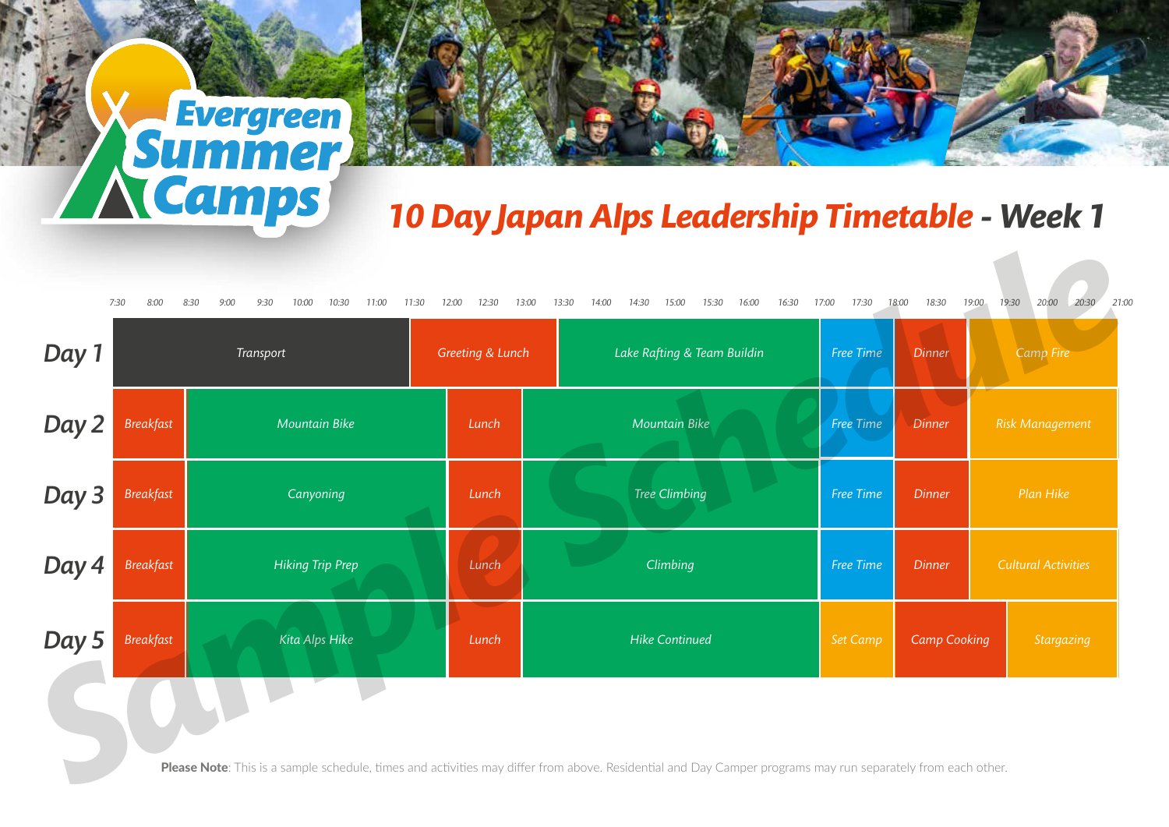## *10 Day Japan Alps Leadership Timetable - Week 1*

| Day 1 |                  | Transport               | Greeting & Lunch | Lake Rafting & Team Buildin | Free Time | <b>Dinner</b>       | <b>Camp Fire</b>           |
|-------|------------------|-------------------------|------------------|-----------------------------|-----------|---------------------|----------------------------|
| Day 2 | <b>Breakfast</b> | Mountain Bike           | Lunch            | Mountain Bike               | Free Time | <b>Dinner</b>       | <b>Risk Management</b>     |
| Day 3 | <b>Breakfast</b> | Canyoning               | Lunch            | <b>Tree Climbing</b>        | Free Time | <b>Dinner</b>       | Plan Hike                  |
| Day 4 | <b>Breakfast</b> | <b>Hiking Trip Prep</b> | Lunch            | Climbing                    | Free Time | <b>Dinner</b>       | <b>Cultural Activities</b> |
| Day 5 | <b>Breakfast</b> | Kita Alps Hike          | Lunch            | <b>Hike Continued</b>       | Set Camp  | <b>Camp Cooking</b> | <b>Stargazing</b>          |
|       |                  |                         |                  |                             |           |                     |                            |

**X** Evergreen